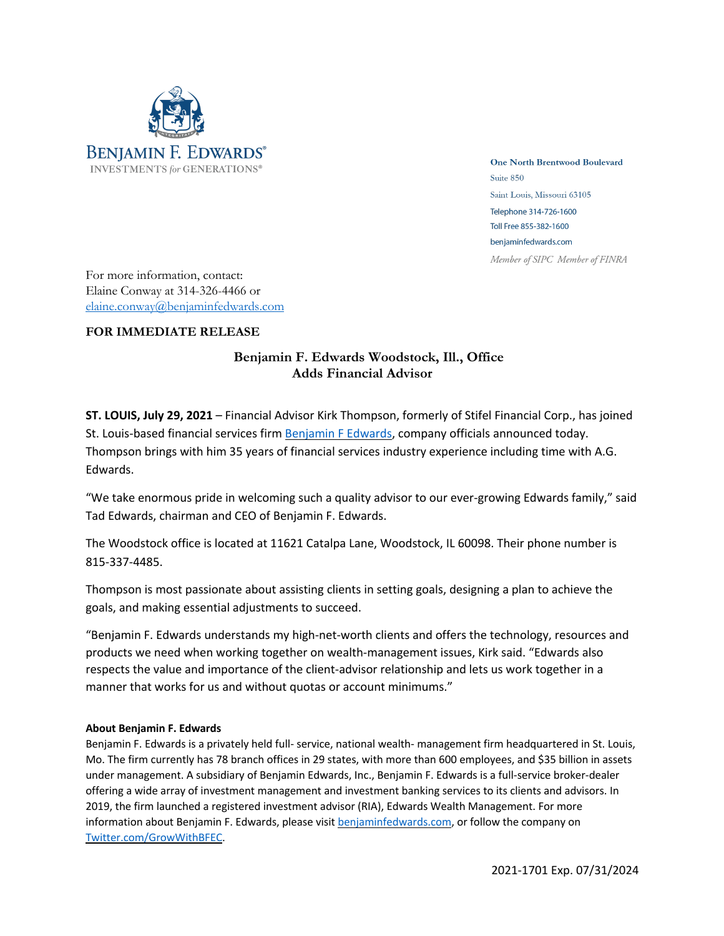

**One North Brentwood Boulevard** Suite 850 Saint Louis, Missouri 63105 Telephone 314-726-1600 Toll Free 855-382-1600 benjaminfedwards.com Member of SIPC Member of FINRA

For more information, contact: Elaine Conway at 314-326-4466 or elaine.conway@benjaminfedwards.com

## **FOR IMMEDIATE RELEASE**

## **Benjamin F. Edwards Woodstock, Ill., Office Adds Financial Advisor**

**ST. LOUIS, July 29, 2021** – Financial Advisor Kirk Thompson, formerly of Stifel Financial Corp., has joined St. Louis-based financial services firm Benjamin F Edwards, company officials announced today. Thompson brings with him 35 years of financial services industry experience including time with A.G. Edwards.

"We take enormous pride in welcoming such a quality advisor to our ever-growing Edwards family," said Tad Edwards, chairman and CEO of Benjamin F. Edwards.

The Woodstock office is located at 11621 Catalpa Lane, Woodstock, IL 60098. Their phone number is 815-337-4485.

Thompson is most passionate about assisting clients in setting goals, designing a plan to achieve the goals, and making essential adjustments to succeed.

"Benjamin F. Edwards understands my high-net-worth clients and offers the technology, resources and products we need when working together on wealth-management issues, Kirk said. "Edwards also respects the value and importance of the client-advisor relationship and lets us work together in a manner that works for us and without quotas or account minimums."

## **About Benjamin F. Edwards**

Benjamin F. Edwards is a privately held full- service, national wealth- management firm headquartered in St. Louis, Mo. The firm currently has 78 branch offices in 29 states, with more than 600 employees, and \$35 billion in assets under management. A subsidiary of Benjamin Edwards, Inc., Benjamin F. Edwards is a full-service broker-dealer offering a wide array of investment management and investment banking services to its clients and advisors. In 2019, the firm launched a registered investment advisor (RIA), Edwards Wealth Management. For more information about Benjamin F. Edwards, please visit benjaminfedwards.com, or follow the company on Twitter.com/GrowWithBFEC.